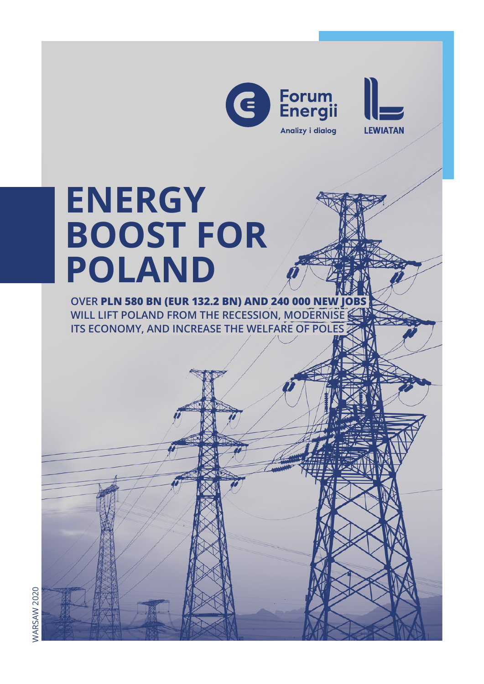



# **ENERGY BOOST FOR POLAND**

 **OVER PLN 580 BN (EUR 132.2 BN) AND 240 000 NEW JOBS WILL LIFT POLAND FROM THE RECESSION, MODERNISE ITS ECONOMY, AND INCREASE THE WELFARE OF POLES**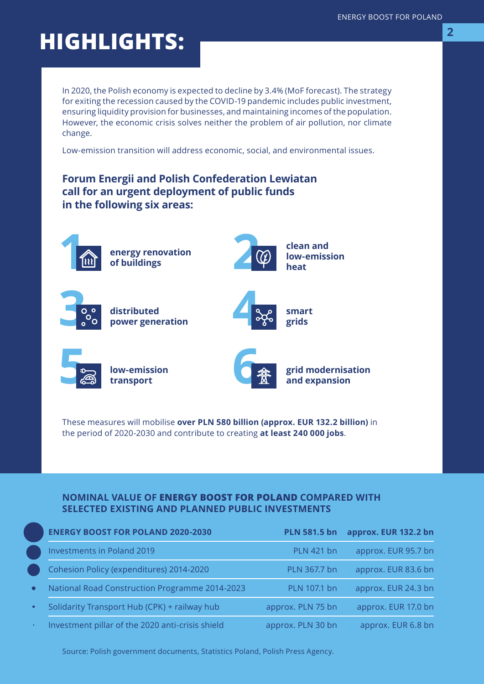## **HIGHLIGHTS: <sup>2</sup>**

In 2020, the Polish economy is expected to decline by 3.4% (MoF forecast). The strategy for exiting the recession caused by the COVID-19 pandemic includes public investment, ensuring liquidity provision for businesses, and maintaining incomes of the population. However, the economic crisis solves neither the problem of air pollution, nor climate change.

Low-emission transition will address economic, social, and environmental issues.

### **Forum Energii and Polish Confederation Lewiatan call for an urgent deployment of public funds in the following six areas:**



**energy renovation of buildings**



**3**

**distributed power generation**



**smart grids**



**low-emission transport**



**grid modernisation and expansion**

These measures will mobilise **over PLN 580 billion (approx. EUR 132.2 billion)** in the period of 2020-2030 and contribute to creating **at least 240 000 jobs**.

#### **NOMINAL VALUE OF ENERGY BOOST FOR POLAND COMPARED WITH SELECTED EXISTING AND PLANNED PUBLIC INVESTMENTS**

|           | <b>ENERGY BOOST FOR POLAND 2020-2030</b>              | <b>PLN 581.5 bn</b> | approx. EUR 132.2 bn |
|-----------|-------------------------------------------------------|---------------------|----------------------|
|           | <b>Investments in Poland 2019</b>                     | <b>PLN 421 bn</b>   | approx. EUR 95.7 bn  |
|           | Cohesion Policy (expenditures) 2014-2020              | PLN 367.7 bn        | approx. EUR 83.6 bn  |
| $\bullet$ | <b>National Road Construction Programme 2014-2023</b> | PLN 107.1 bn        | approx. EUR 24.3 bn  |
| $\bullet$ | Solidarity Transport Hub (CPK) + railway hub          | approx. PLN 75 bn   | approx. EUR 17.0 bn  |
|           | Investment pillar of the 2020 anti-crisis shield      | approx. PLN 30 bn   | approx. EUR 6.8 bn   |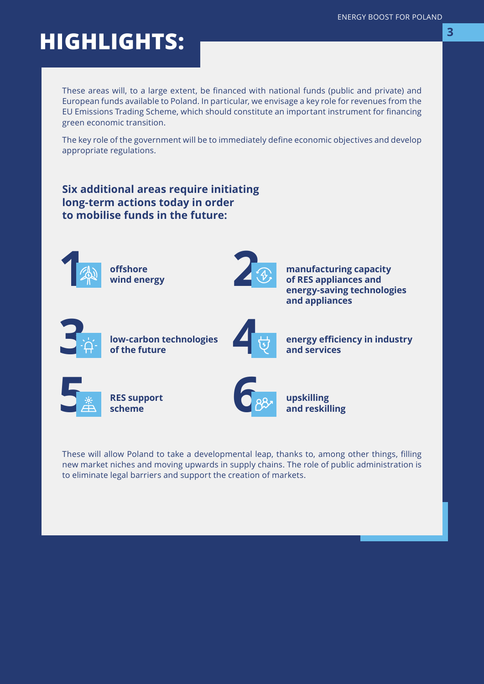## **HIGHLIGHTS:**

These areas will, to a large extent, be financed with national funds (public and private) and European funds available to Poland. In particular, we envisage a key role for revenues from the EU Emissions Trading Scheme, which should constitute an important instrument for financing green economic transition.

The key role of the government will be to immediately define economic objectives and develop appropriate regulations.

### **Six additional areas require initiating long-term actions today in order to mobilise funds in the future:**



**offshore wind energy**



**manufacturing capacity of RES appliances and energy-saving technologies and appliances**



**low-carbon technologies of the future**



**energy efficiency in industry and services**



**RES support scheme**



**upskilling and reskilling**

These will allow Poland to take a developmental leap, thanks to, among other things, filling new market niches and moving upwards in supply chains. The role of public administration is to eliminate legal barriers and support the creation of markets.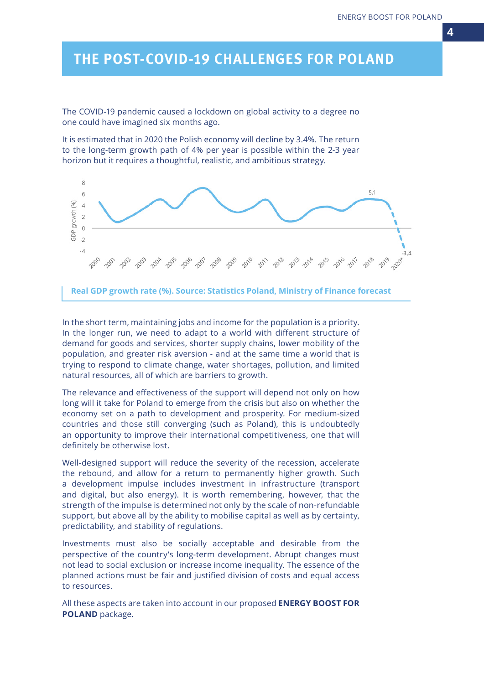### *THE POST-COVID-19 CHALLENGES FOR POLAND*

The COVID-19 pandemic caused a lockdown on global activity to a degree no one could have imagined six months ago.

It is estimated that in 2020 the Polish economy will decline by 3.4%. The return to the long-term growth path of 4% per year is possible within the 2-3 year horizon but it requires a thoughtful, realistic, and ambitious strategy.



**Real GDP growth rate (%). Source: Statistics Poland, Ministry of Finance forecast**

In the short term, maintaining jobs and income for the population is a priority. In the longer run, we need to adapt to a world with different structure of demand for goods and services, shorter supply chains, lower mobility of the population, and greater risk aversion - and at the same time a world that is trying to respond to climate change, water shortages, pollution, and limited natural resources, all of which are barriers to growth.

The relevance and effectiveness of the support will depend not only on how long will it take for Poland to emerge from the crisis but also on whether the economy set on a path to development and prosperity. For medium-sized countries and those still converging (such as Poland), this is undoubtedly an opportunity to improve their international competitiveness, one that will definitely be otherwise lost.

Well-designed support will reduce the severity of the recession, accelerate the rebound, and allow for a return to permanently higher growth. Such a development impulse includes investment in infrastructure (transport and digital, but also energy). It is worth remembering, however, that the strength of the impulse is determined not only by the scale of non-refundable support, but above all by the ability to mobilise capital as well as by certainty, predictability, and stability of regulations.

Investments must also be socially acceptable and desirable from the perspective of the country's long-term development. Abrupt changes must not lead to social exclusion or increase income inequality. The essence of the planned actions must be fair and justified division of costs and equal access to resources.

All these aspects are taken into account in our proposed **ENERGY BOOST FOR POLAND** package.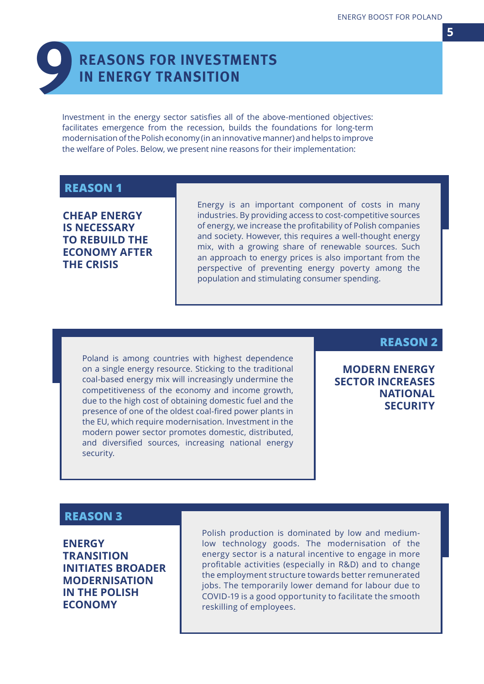# **REASONS FOR INVESTMENTS<br>IN ENERGY TRANSITION**

Investment in the energy sector satisfies all of the above-mentioned objectives: facilitates emergence from the recession, builds the foundations for long-term modernisation of the Polish economy (in an innovative manner) and helps to improve the welfare of Poles. Below, we present nine reasons for their implementation:

### **REASON 1**

**CHEAP ENERGY IS NECESSARY TO REBUILD THE ECONOMY AFTER THE CRISIS**

Energy is an important component of costs in many industries. By providing access to cost-competitive sources of energy, we increase the profitability of Polish companies and society. However, this requires a well-thought energy mix, with a growing share of renewable sources. Such an approach to energy prices is also important from the perspective of preventing energy poverty among the population and stimulating consumer spending.

Poland is among countries with highest dependence on a single energy resource. Sticking to the traditional coal-based energy mix will increasingly undermine the competitiveness of the economy and income growth, due to the high cost of obtaining domestic fuel and the presence of one of the oldest coal-fired power plants in the EU, which require modernisation. Investment in the modern power sector promotes domestic, distributed, and diversified sources, increasing national energy security.

**REASON 2**

**MODERN ENERGY SECTOR INCREASES NATIONAL SECURITY**

### **REASON 3**

**ENERGY TRANSITION INITIATES BROADER MODERNISATION IN THE POLISH ECONOMY**

Polish production is dominated by low and mediumlow technology goods. The modernisation of the energy sector is a natural incentive to engage in more profitable activities (especially in R&D) and to change the employment structure towards better remunerated jobs. The temporarily lower demand for labour due to COVID-19 is a good opportunity to facilitate the smooth reskilling of employees.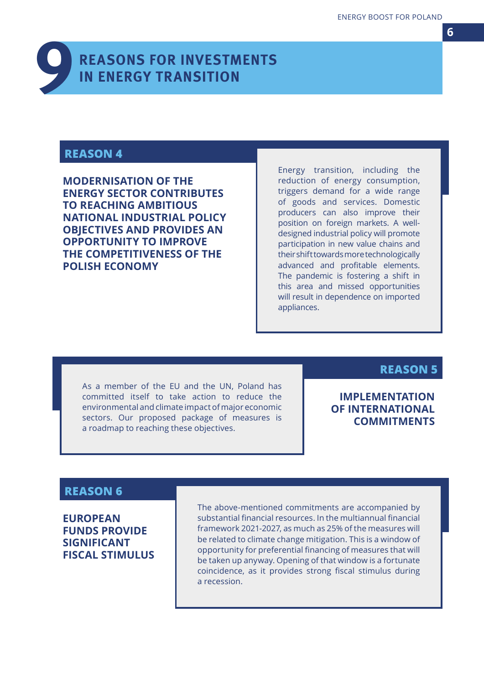

### *REASONS FOR INVESTMENTS IN ENERGY TRANSITION*

### **REASON 4**

**MODERNISATION OF THE ENERGY SECTOR CONTRIBUTES TO REACHING AMBITIOUS NATIONAL INDUSTRIAL POLICY OBJECTIVES AND PROVIDES AN OPPORTUNITY TO IMPROVE THE COMPETITIVENESS OF THE POLISH ECONOMY**

Energy transition, including the reduction of energy consumption, triggers demand for a wide range of goods and services. Domestic producers can also improve their position on foreign markets. A welldesigned industrial policy will promote participation in new value chains and their shift towards more technologically advanced and profitable elements. The pandemic is fostering a shift in this area and missed opportunities will result in dependence on imported appliances.

As a member of the EU and the UN, Poland has committed itself to take action to reduce the environmental and climate impact of major economic sectors. Our proposed package of measures is a roadmap to reaching these objectives.

### **REASON 5**

### **IMPLEMENTATION OF INTERNATIONAL COMMITMENTS**

### **REASON 6**

**EUROPEAN FUNDS PROVIDE SIGNIFICANT FISCAL STIMULUS** The above-mentioned commitments are accompanied by substantial financial resources. In the multiannual financial framework 2021-2027, as much as 25% of the measures will be related to climate change mitigation. This is a window of opportunity for preferential financing of measures that will be taken up anyway. Opening of that window is a fortunate coincidence, as it provides strong fiscal stimulus during a recession.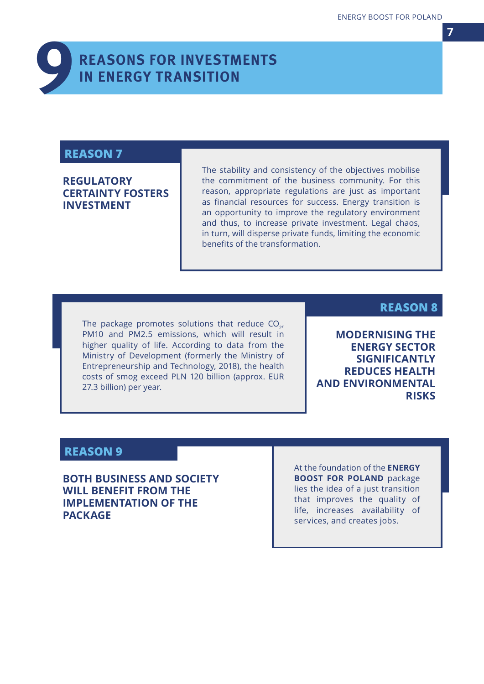

### *REASONS FOR INVESTMENTS IN ENERGY TRANSITION*

### **REASON 7**

### **REGULATORY CERTAINTY FOSTERS INVESTMENT**

The stability and consistency of the objectives mobilise the commitment of the business community. For this reason, appropriate regulations are just as important as financial resources for success. Energy transition is an opportunity to improve the regulatory environment and thus, to increase private investment. Legal chaos, in turn, will disperse private funds, limiting the economic benefits of the transformation.

The package promotes solutions that reduce  $CO<sub>2</sub>$ , PM10 and PM2.5 emissions, which will result in higher quality of life. According to data from the Ministry of Development (formerly the Ministry of Entrepreneurship and Technology, 2018), the health costs of smog exceed PLN 120 billion (approx. EUR 27.3 billion) per year.

### **REASON 8**

**MODERNISING THE ENERGY SECTOR SIGNIFICANTLY REDUCES HEALTH AND ENVIRONMENTAL RISKS**

### **REASON 9**

**BOTH BUSINESS AND SOCIETY WILL BENEFIT FROM THE IMPLEMENTATION OF THE PACKAGE**

At the foundation of the **ENERGY BOOST FOR POLAND** package lies the idea of a just transition that improves the quality of life, increases availability of services, and creates jobs.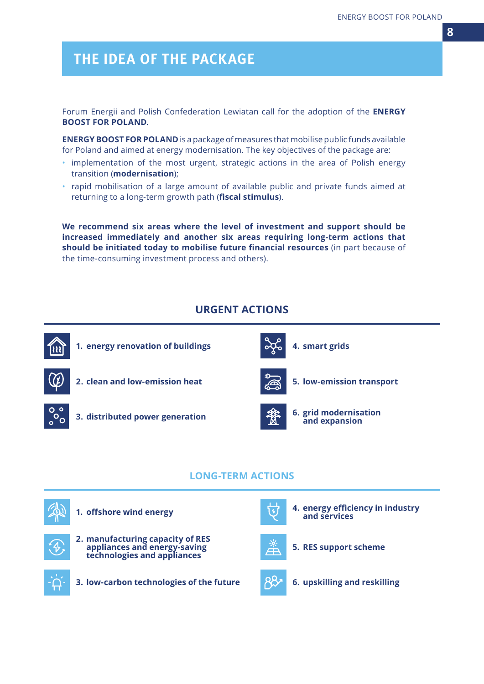### *THE IDEA OF THE PACKAGE*

Forum Energii and Polish Confederation Lewiatan call for the adoption of the **ENERGY BOOST FOR POLAND**.

**ENERGY BOOST FOR POLAND** is a package of measures that mobilise public funds available for Poland and aimed at energy modernisation. The key objectives of the package are:

- implementation of the most urgent, strategic actions in the area of Polish energy transition (**modernisation**);
- rapid mobilisation of a large amount of available public and private funds aimed at returning to a long-term growth path (**fiscal stimulus**).

**We recommend six areas where the level of investment and support should be increased immediately and another six areas requiring long-term actions that should be initiated today to mobilise future financial resources** (in part because of the time-consuming investment process and others).

### **URGENT ACTIONS**



#### **LONG-TERM ACTIONS**









#### **3. low-carbon technologies of the future 6. upskilling and reskilling**



**1. offshore wind energy 1. energy efficiency in industry and services**



**5. RES support scheme**

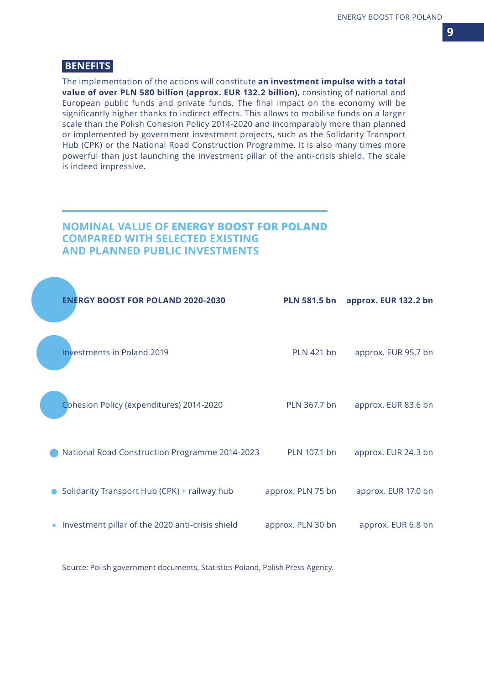#### **BENEFITS**

The implementation of the actions will constitute **an investment impulse with a total value of over PLN 580 billion (approx. EUR 132.2 billion)**, consisting of national and European public funds and private funds. The final impact on the economy will be significantly higher thanks to indirect effects. This allows to mobilise funds on a larger scale than the Polish Cohesion Policy 2014-2020 and incomparably more than planned or implemented by government investment projects, such as the Solidarity Transport Hub (CPK) or the National Road Construction Programme. It is also many times more powerful than just launching the investment pillar of the anti-crisis shield. The scale is indeed impressive.

### **NOMINAL VALUE OF ENERGY BOOST FOR POLAND COMPARED WITH SELECTED EXISTING AND PLANNED PUBLIC INVESTMENTS**

|           | <b>ENERGY BOOST FOR POLAND 2020-2030</b>         | <b>PLN 581.5 bn</b> | approx. EUR 132.2 bn |
|-----------|--------------------------------------------------|---------------------|----------------------|
|           | <b>Investments in Poland 2019</b>                | <b>PLN 421 bn</b>   | approx. EUR 95.7 bn  |
|           | Cohesion Policy (expenditures) 2014-2020         | PLN 367.7 bn        | approx. EUR 83.6 bn  |
|           | National Road Construction Programme 2014-2023   | PLN 107.1 bn        | approx. EUR 24.3 bn  |
|           | Solidarity Transport Hub (CPK) + railway hub     | approx. PLN 75 bn   | approx. EUR 17.0 bn  |
| $\bullet$ | Investment pillar of the 2020 anti-crisis shield | approx. PLN 30 bn   | approx. EUR 6.8 bn   |
|           |                                                  |                     |                      |

Source: Polish government documents, Statistics Poland, Polish Press Agency.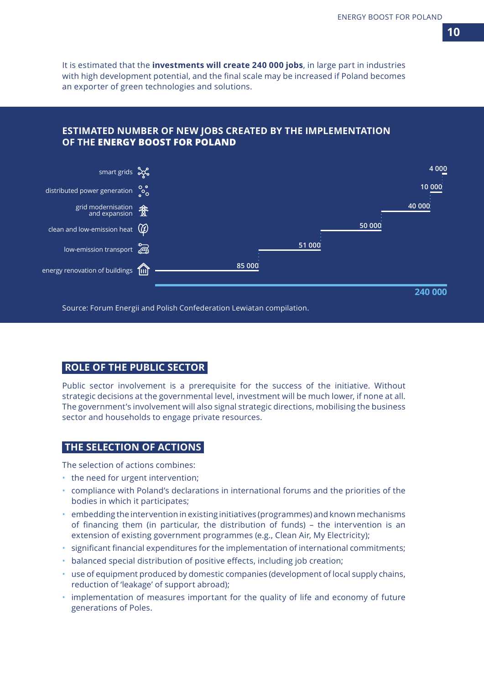It is estimated that the **investments will create 240 000 jobs**, in large part in industries with high development potential, and the final scale may be increased if Poland becomes an exporter of green technologies and solutions.

#### **ESTIMATED NUMBER OF NEW JOBS CREATED BY THE IMPLEMENTATION OF THE ENERGY BOOST FOR POLAND**



Source: Forum Energii and Polish Confederation Lewiatan compilation.

#### **ROLE OF THE PUBLIC SECTOR**

Public sector involvement is a prerequisite for the success of the initiative. Without strategic decisions at the governmental level, investment will be much lower, if none at all. The government's involvement will also signal strategic directions, mobilising the business sector and households to engage private resources.

#### **THE SELECTION OF ACTIONS**

The selection of actions combines:

- the need for urgent intervention;
- compliance with Poland's declarations in international forums and the priorities of the bodies in which it participates;
- embedding the intervention in existing initiatives (programmes) and known mechanisms of financing them (in particular, the distribution of funds) – the intervention is an extension of existing government programmes (e.g., Clean Air, My Electricity);
- significant financial expenditures for the implementation of international commitments;
- balanced special distribution of positive effects, including job creation;
- use of equipment produced by domestic companies (development of local supply chains, reduction of 'leakage' of support abroad);
- implementation of measures important for the quality of life and economy of future generations of Poles.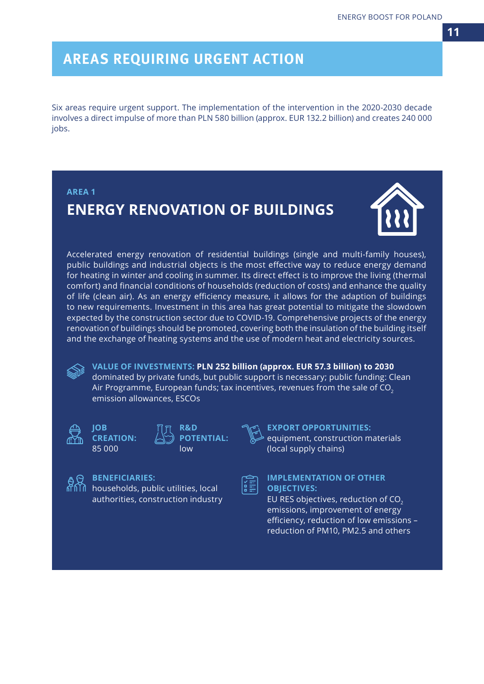Six areas require urgent support. The implementation of the intervention in the 2020-2030 decade involves a direct impulse of more than PLN 580 billion (approx. EUR 132.2 billion) and creates 240 000 jobs.





Accelerated energy renovation of residential buildings (single and multi-family houses), public buildings and industrial objects is the most effective way to reduce energy demand for heating in winter and cooling in summer. Its direct effect is to improve the living (thermal comfort) and financial conditions of households (reduction of costs) and enhance the quality of life (clean air). As an energy efficiency measure, it allows for the adaption of buildings to new requirements. Investment in this area has great potential to mitigate the slowdown expected by the construction sector due to COVID-19. Comprehensive projects of the energy renovation of buildings should be promoted, covering both the insulation of the building itself and the exchange of heating systems and the use of modern heat and electricity sources.

**VALUE OF INVESTMENTS: PLN 252 billion (approx. EUR 57.3 billion) to 2030** dominated by private funds, but public support is necessary; public funding: Clean Air Programme, European funds; tax incentives, revenues from the sale of CO<sub>2</sub> emission allowances, ESCOs



**JOB CREATION:** 85 000





**EXPORT OPPORTUNITIES:** equipment, construction materials (local supply chains)

### **BENEFICIARIES:**

households, public utilities, local authorities, construction industry

| ۰ | ۰<br>- |
|---|--------|
|   | -<br>٠ |
|   | ٠      |

#### **IMPLEMENTATION OF OTHER OBJECTIVES:**

EU RES objectives, reduction of CO<sub>2</sub> emissions, improvement of energy efficiency, reduction of low emissions – reduction of PM10, PM2.5 and others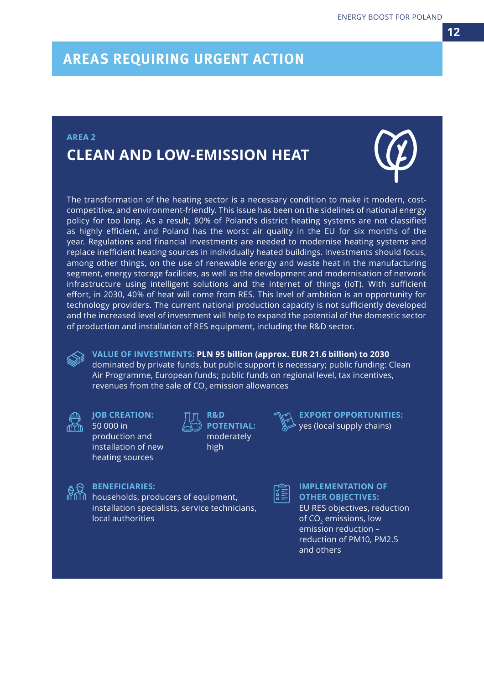### **AREA 2**

### **CLEAN AND LOW-EMISSION HEAT**

The transformation of the heating sector is a necessary condition to make it modern, costcompetitive, and environment-friendly. This issue has been on the sidelines of national energy policy for too long. As a result, 80% of Poland's district heating systems are not classified as highly efficient, and Poland has the worst air quality in the EU for six months of the year. Regulations and financial investments are needed to modernise heating systems and replace inefficient heating sources in individually heated buildings. Investments should focus, among other things, on the use of renewable energy and waste heat in the manufacturing segment, energy storage facilities, as well as the development and modernisation of network infrastructure using intelligent solutions and the internet of things (IoT). With sufficient effort, in 2030, 40% of heat will come from RES. This level of ambition is an opportunity for technology providers. The current national production capacity is not sufficiently developed and the increased level of investment will help to expand the potential of the domestic sector of production and installation of RES equipment, including the R&D sector.

**VALUE OF INVESTMENTS: PLN 95 billion (approx. EUR 21.6 billion) to 2030** dominated by private funds, but public support is necessary; public funding: Clean Air Programme, European funds; public funds on regional level, tax incentives, revenues from the sale of  $CO<sub>2</sub>$  emission allowances



**JOB CREATION:** 50 000 in production and installation of new heating sources



**EXPORT OPPORTUNITIES:** yes (local supply chains)



**BENEFICIARIES:** 

households, producers of equipment, installation specialists, service technicians, local authorities

|  | ۰ |  |
|--|---|--|
|  |   |  |
|  |   |  |

**IMPLEMENTATION OF OTHER OBJECTIVES:**  EU RES objectives, reduction of CO<sub>2</sub> emissions, low emission reduction – reduction of PM10, PM2.5 and others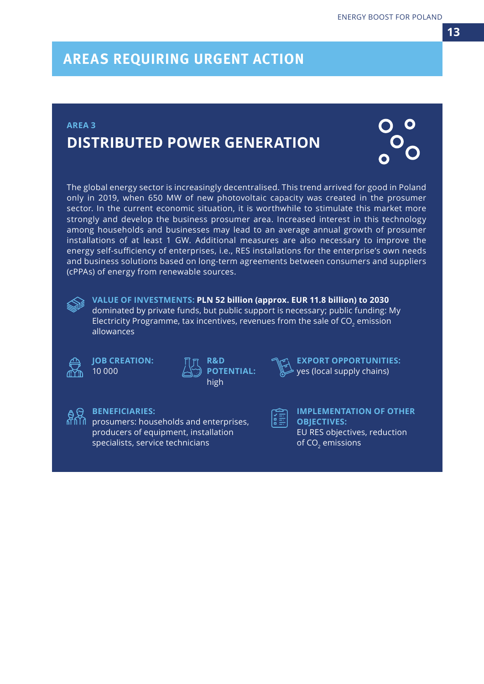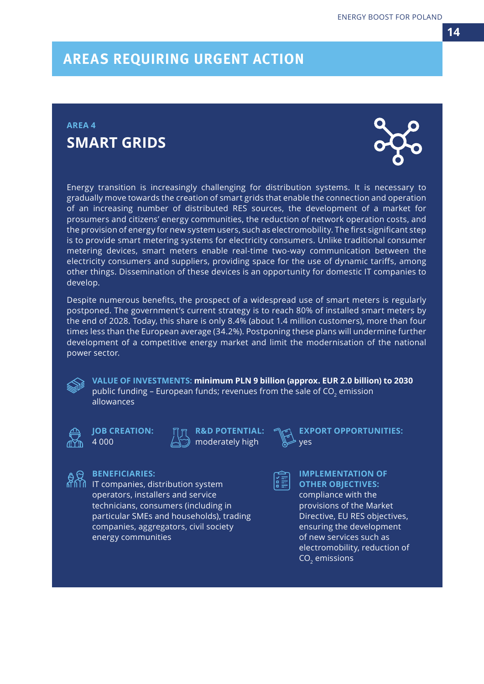### **AREA 4 SMART GRIDS**



Energy transition is increasingly challenging for distribution systems. It is necessary to gradually move towards the creation of smart grids that enable the connection and operation of an increasing number of distributed RES sources, the development of a market for prosumers and citizens' energy communities, the reduction of network operation costs, and the provision of energy for new system users, such as electromobility. The first significant step is to provide smart metering systems for electricity consumers. Unlike traditional consumer metering devices, smart meters enable real-time two-way communication between the electricity consumers and suppliers, providing space for the use of dynamic tariffs, among other things. Dissemination of these devices is an opportunity for domestic IT companies to develop.

Despite numerous benefits, the prospect of a widespread use of smart meters is regularly postponed. The government's current strategy is to reach 80% of installed smart meters by the end of 2028. Today, this share is only 8.4% (about 1.4 million customers), more than four times less than the European average (34.2%). Postponing these plans will undermine further development of a competitive energy market and limit the modernisation of the national power sector.

**VALUE OF INVESTMENTS: minimum PLN 9 billion (approx. EUR 2.0 billion) to 2030** public funding - European funds; revenues from the sale of CO<sub>2</sub> emission allowances

**JOB CREATION:** 4 000

**BENEFICIARIES:** 

energy communities

IT companies, distribution system operators, installers and service technicians, consumers (including in particular SMEs and households), trading companies, aggregators, civil society



**EXPORT OPPORTUNITIES:** yes

**IMPLEMENTATION OF OTHER OBJECTIVES:**  compliance with the provisions of the Market Directive, EU RES objectives, ensuring the development of new services such as electromobility, reduction of CO<sub>2</sub> emissions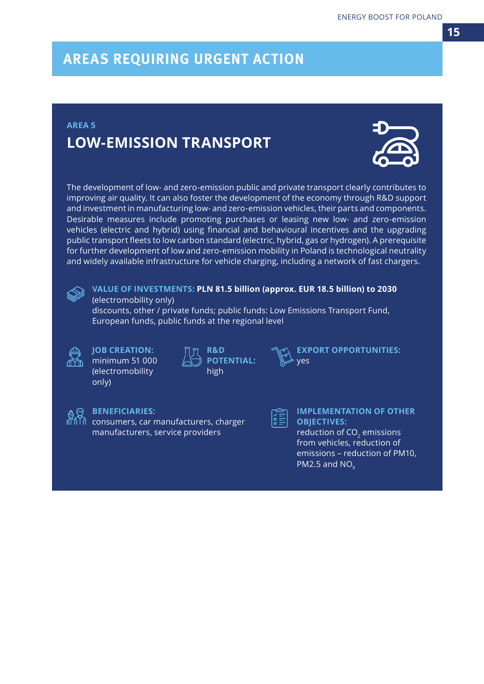### **AREA 5 LOW-EMISSION TRANSPORT**



The development of low- and zero-emission public and private transport clearly contributes to improving air quality. It can also foster the development of the economy through R&D support and investment in manufacturing low- and zero-emission vehicles, their parts and components. Desirable measures include promoting purchases or leasing new low- and zero-emission vehicles (electric and hybrid) using financial and behavioural incentives and the upgrading public transport fleets to low carbon standard (electric, hybrid, gas or hydrogen). A prerequisite for further development of low and zero-emission mobility in Poland is technological neutrality and widely available infrastructure for vehicle charging, including a network of fast chargers.



#### **VALUE OF INVESTMENTS: PLN 81.5 billion (approx. EUR 18.5 billion) to 2030** (electromobility only)

discounts, other / private funds; public funds: Low Emissions Transport Fund, European funds, public funds at the regional level



#### **JOB CREATION:** minimum 51 000 (electromobility

**BENEFICIARIES:** 

consumers, car manufacturers, charger manufacturers, service providers

only)

| ∏∏ R&D<br>⊴) POTENTIAL: |
|-------------------------|
| high                    |

**EXPORT OPPORTUNITIES:** yes

旨

**IMPLEMENTATION OF OTHER OBJECTIVES:**  reduction of CO<sub>2</sub> emissions

from vehicles, reduction of emissions – reduction of PM10, PM2.5 and  $NO<sub>v</sub>$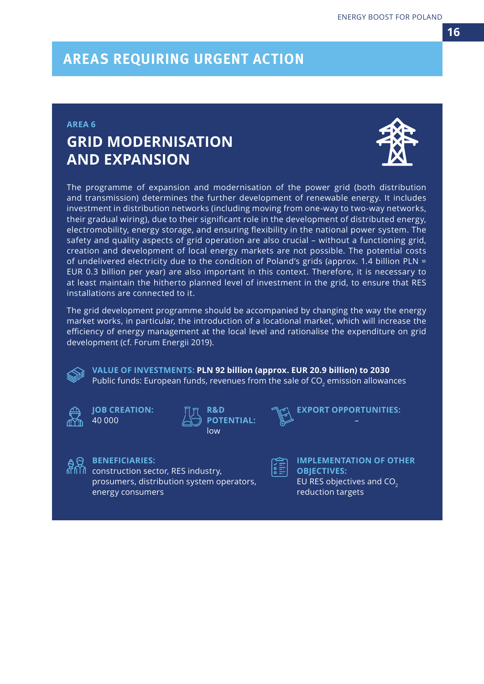#### **AREA 6**

### **GRID MODERNISATION AND EXPANSION**



The programme of expansion and modernisation of the power grid (both distribution and transmission) determines the further development of renewable energy. It includes investment in distribution networks (including moving from one-way to two-way networks, their gradual wiring), due to their significant role in the development of distributed energy, electromobility, energy storage, and ensuring flexibility in the national power system. The safety and quality aspects of grid operation are also crucial – without a functioning grid, creation and development of local energy markets are not possible. The potential costs of undelivered electricity due to the condition of Poland's grids (approx. 1.4 billion PLN = EUR 0.3 billion per year) are also important in this context. Therefore, it is necessary to at least maintain the hitherto planned level of investment in the grid, to ensure that RES installations are connected to it.

The grid development programme should be accompanied by changing the way the energy market works, in particular, the introduction of a locational market, which will increase the efficiency of energy management at the local level and rationalise the expenditure on grid development (cf. Forum Energii 2019).

**VALUE OF INVESTMENTS: PLN 92 billion (approx. EUR 20.9 billion) to 2030** Public funds: European funds, revenues from the sale of CO<sub>2</sub> emission allowances



**JOB CREATION:** 40 000





**EXPORT OPPORTUNITIES:**



#### **BENEFICIARIES:**

construction sector, RES industry, prosumers, distribution system operators, energy consumers



**IMPLEMENTATION OF OTHER OBJECTIVES:**  EU RES objectives and CO<sub>2</sub> reduction targets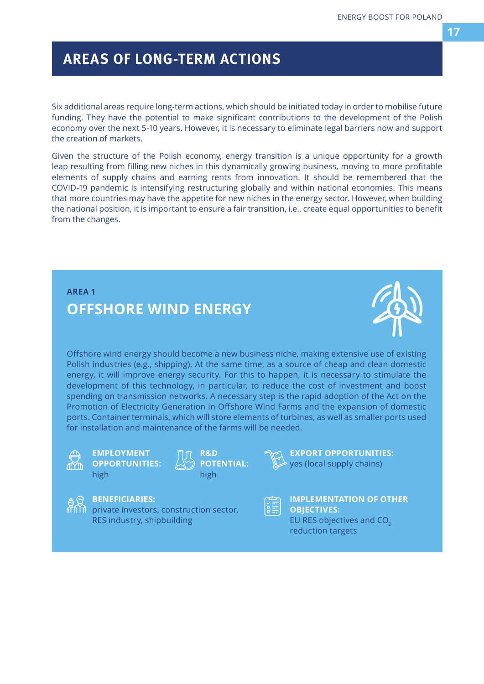Six additional areas require long-term actions, which should be initiated today in order to mobilise future funding. They have the potential to make significant contributions to the development of the Polish economy over the next 5-10 years. However, it is necessary to eliminate legal barriers now and support the creation of markets.

Given the structure of the Polish economy, energy transition is a unique opportunity for a growth leap resulting from filling new niches in this dynamically growing business, moving to more profitable elements of supply chains and earning rents from innovation. It should be remembered that the COVID-19 pandemic is intensifying restructuring globally and within national economies. This means that more countries may have the appetite for new niches in the energy sector. However, when building the national position, it is important to ensure a fair transition, i.e., create equal opportunities to benefit from the changes.

### **AREA 1 OFFSHORE WIND ENERGY**



Offshore wind energy should become a new business niche, making extensive use of existing Polish industries (e.g., shipping). At the same time, as a source of cheap and clean domestic energy, it will improve energy security. For this to happen, it is necessary to stimulate the development of this technology, in particular, to reduce the cost of investment and boost spending on transmission networks. A necessary step is the rapid adoption of the Act on the Promotion of Electricity Generation in Offshore Wind Farms and the expansion of domestic ports. Container terminals, which will store elements of turbines, as well as smaller ports used for installation and maintenance of the farms will be needed.



**EMPLOYMENT OPPORTUNITIES:**  high

**R&D POTENTIAL:** high



#### **BENEFICIARIES:**

 $\widehat{\mathbf{M}}$  private investors, construction sector, RES industry, shipbuilding



## **IMPLEMENTATION OF OTHER**

**EXPORT OPPORTUNITIES:** yes (local supply chains)

**OBJECTIVES:**  EU RES objectives and CO<sub>2</sub> reduction targets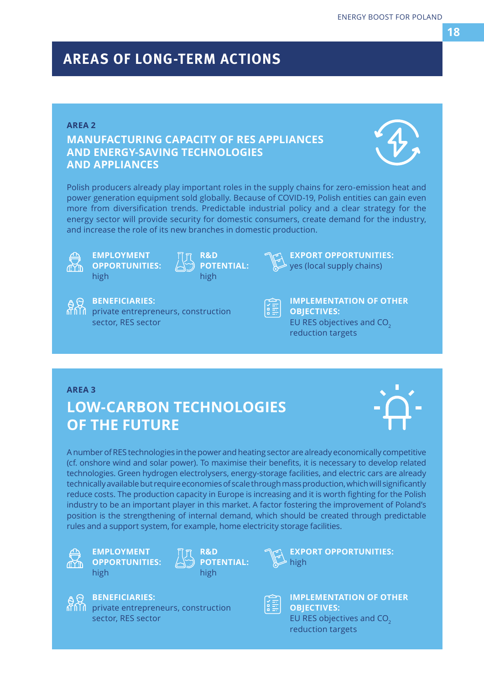#### **AREA 2**

### **MANUFACTURING CAPACITY OF RES APPLIANCES AND ENERGY-SAVING TECHNOLOGIES AND APPLIANCES**



Polish producers already play important roles in the supply chains for zero-emission heat and power generation equipment sold globally. Because of COVID-19, Polish entities can gain even more from diversification trends. Predictable industrial policy and a clear strategy for the energy sector will provide security for domestic consumers, create demand for the industry, and increase the role of its new branches in domestic production.



**EMPLOYMENT OPPORTUNITIES:**  high

**R&D POTENTIAL:** high



#### **BENEFICIARIES:**

private entrepreneurs, construction sector, RES sector



**IMPLEMENTATION OF OTHER OBJECTIVES:**  EU RES objectives and  $CO<sub>2</sub>$ reduction targets

**EXPORT OPPORTUNITIES:** yes (local supply chains)

#### **AREA 3**

### **LOW-CARBON TECHNOLOGIES OF THE FUTURE**



A number of RES technologies in the power and heating sector are already economically competitive (cf. onshore wind and solar power). To maximise their benefits, it is necessary to develop related technologies. Green hydrogen electrolysers, energy-storage facilities, and electric cars are already technically available but require economies of scale through mass production, which will significantly reduce costs. The production capacity in Europe is increasing and it is worth fighting for the Polish industry to be an important player in this market. A factor fostering the improvement of Poland's position is the strengthening of internal demand, which should be created through predictable rules and a support system, for example, home electricity storage facilities.



**EMPLOYMENT OPPORTUNITIES:**  high

**BENEFICIARIES:** 

sector, RES sector

private entrepreneurs, construction





**EXPORT OPPORTUNITIES:**  $\overline{\phantom{a}}$  high



**IMPLEMENTATION OF OTHER OBJECTIVES:**  EU RES objectives and CO<sub>2</sub>

reduction targets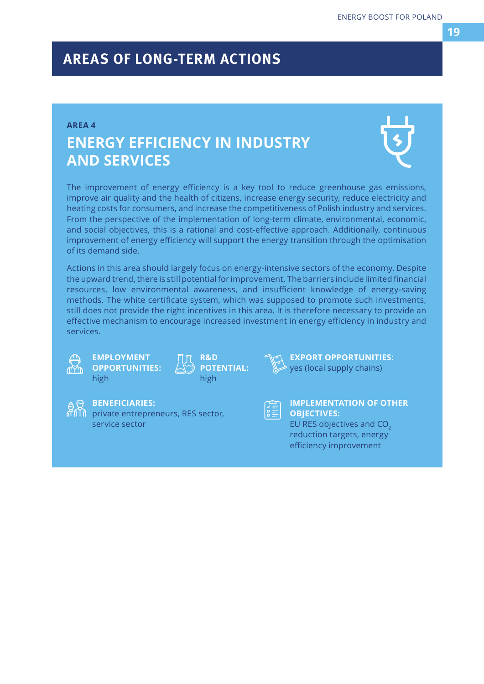#### **AREA 4**

### **ENERGY EFFICIENCY IN INDUSTRY AND SERVICES**



The improvement of energy efficiency is a key tool to reduce greenhouse gas emissions, improve air quality and the health of citizens, increase energy security, reduce electricity and heating costs for consumers, and increase the competitiveness of Polish industry and services. From the perspective of the implementation of long-term climate, environmental, economic, and social objectives, this is a rational and cost-effective approach. Additionally, continuous improvement of energy efficiency will support the energy transition through the optimisation of its demand side.

Actions in this area should largely focus on energy-intensive sectors of the economy. Despite the upward trend, there is still potential for improvement. The barriers include limited financial resources, low environmental awareness, and insufficient knowledge of energy-saving methods. The white certificate system, which was supposed to promote such investments, still does not provide the right incentives in this area. It is therefore necessary to provide an effective mechanism to encourage increased investment in energy efficiency in industry and services.



#### **EMPLOYMENT OPPORTUNITIES:**  high





**EXPORT OPPORTUNITIES:** yes (local supply chains)



#### **BENEFICIARIES:**

private entrepreneurs, RES sector, service sector



#### **IMPLEMENTATION OF OTHER OBJECTIVES:**  EU RES objectives and CO<sub>2</sub>

reduction targets, energy efficiency improvement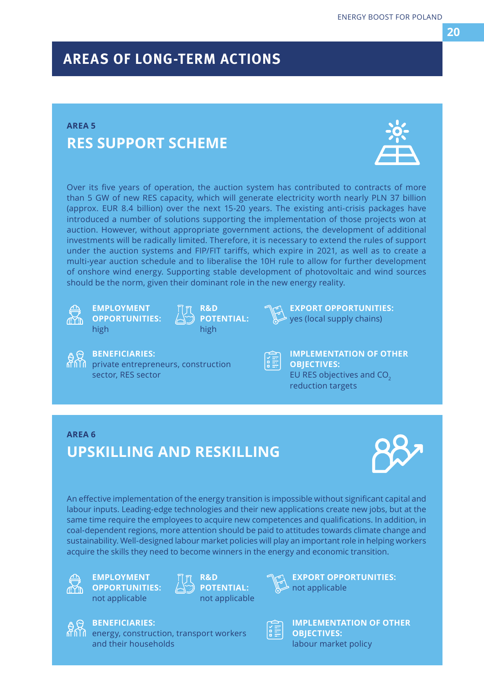### **AREA 5 RES SUPPORT SCHEME**



Over its five years of operation, the auction system has contributed to contracts of more than 5 GW of new RES capacity, which will generate electricity worth nearly PLN 37 billion (approx. EUR 8.4 billion) over the next 15-20 years. The existing anti-crisis packages have introduced a number of solutions supporting the implementation of those projects won at auction. However, without appropriate government actions, the development of additional investments will be radically limited. Therefore, it is necessary to extend the rules of support under the auction systems and FIP/FIT tariffs, which expire in 2021, as well as to create a multi-year auction schedule and to liberalise the 10H rule to allow for further development of onshore wind energy. Supporting stable development of photovoltaic and wind sources should be the norm, given their dominant role in the new energy reality.



**EMPLOYMENT OPPORTUNITIES:**  high

**BENEFICIARIES:** 

sector, RES sector

**M** private entrepreneurs, construction





**EXPORT OPPORTUNITIES:** yes (local supply chains)



#### **IMPLEMENTATION OF OTHER OBJECTIVES:**  EU RES objectives and CO<sub>2</sub> reduction targets

### **AREA 6**

## **UPSKILLING AND RESKILLING**

energy, construction, transport workers



An effective implementation of the energy transition is impossible without significant capital and labour inputs. Leading-edge technologies and their new applications create new jobs, but at the same time require the employees to acquire new competences and qualifications. In addition, in coal-dependent regions, more attention should be paid to attitudes towards climate change and sustainability. Well-designed labour market policies will play an important role in helping workers acquire the skills they need to become winners in the energy and economic transition.



**EMPLOYMENT OPPORTUNITIES:**  not applicable

**BENEFICIARIES:** 

and their households







**IMPLEMENTATION OF OTHER OBJECTIVES:**  labour market policy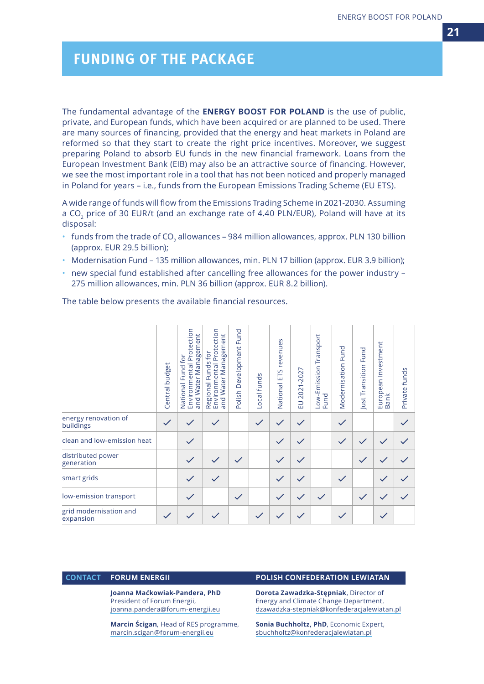### *FUNDING OF THE PACKAGE*

The fundamental advantage of the **ENERGY BOOST FOR POLAND** is the use of public, private, and European funds, which have been acquired or are planned to be used. There are many sources of financing, provided that the energy and heat markets in Poland are reformed so that they start to create the right price incentives. Moreover, we suggest preparing Poland to absorb EU funds in the new financial framework. Loans from the European Investment Bank (EIB) may also be an attractive source of financing. However, we see the most important role in a tool that has not been noticed and properly managed in Poland for years – i.e., funds from the European Emissions Trading Scheme (EU ETS).

A wide range of funds will flow from the Emissions Trading Scheme in 2021-2030. Assuming a CO<sub>2</sub> price of 30 EUR/t (and an exchange rate of 4.40 PLN/EUR), Poland will have at its disposal:

- $\cdot$  funds from the trade of CO<sub>2</sub> allowances 984 million allowances, approx. PLN 130 billion (approx. EUR 29.5 billion);
- Modernisation Fund 135 million allowances, min. PLN 17 billion (approx. EUR 3.9 billion);
- new special fund established after cancelling free allowances for the power industry 275 million allowances, min. PLN 36 billion (approx. EUR 8.2 billion).

The table below presents the available financial resources.

|                                     | Central budget | National Fund for<br>Environmental Protection<br>agement<br>and Water Man | Protection<br>Water Management<br>$f$ Or<br>Regional Funds<br>Environmental F<br>and Water Mana | Fund<br>Development<br>Polish | Local funds | National ETS revenues | EU 2021-2027 | Low-Emission Transport<br>Fund | Fund<br>Modernisation | Just Transition Fund | European Investment<br>Bank | Private funds |
|-------------------------------------|----------------|---------------------------------------------------------------------------|-------------------------------------------------------------------------------------------------|-------------------------------|-------------|-----------------------|--------------|--------------------------------|-----------------------|----------------------|-----------------------------|---------------|
| energy renovation of<br>buildings   | $\checkmark$   |                                                                           |                                                                                                 |                               |             |                       |              |                                | $\checkmark$          |                      |                             |               |
| clean and low-emission heat         |                | $\checkmark$                                                              |                                                                                                 |                               |             |                       |              |                                | $\checkmark$          |                      |                             |               |
| distributed power<br>generation     |                |                                                                           |                                                                                                 |                               |             | $\checkmark$          |              |                                |                       |                      |                             |               |
| smart grids                         |                | $\checkmark$                                                              |                                                                                                 |                               |             |                       |              |                                | $\checkmark$          |                      |                             |               |
| low-emission transport              |                | $\checkmark$                                                              |                                                                                                 | $\checkmark$                  |             | $\checkmark$          |              | $\checkmark$                   |                       |                      | $\checkmark$                |               |
| grid modernisation and<br>expansion |                |                                                                           |                                                                                                 |                               |             |                       |              |                                | $\checkmark$          |                      | $\checkmark$                |               |

**Joanna Maćkowiak-Pandera, PhD** President of Forum Energii, joanna.pandera@forum-energii.eu

**Marcin Ścigan**, Head of RES programme, marcin.scigan@forum-energii.eu

#### **CONTACT FORUM ENERGII POLISH CONFEDERATION LEWIATAN**

**Dorota Zawadzka-Stępniak**, Director of Energy and Climate Change Department, dzawadzka-stepniak@konfederacjalewiatan.pl

**Sonia Buchholtz, PhD**, Economic Expert, sbuchholtz@konfederacjalewiatan.pl